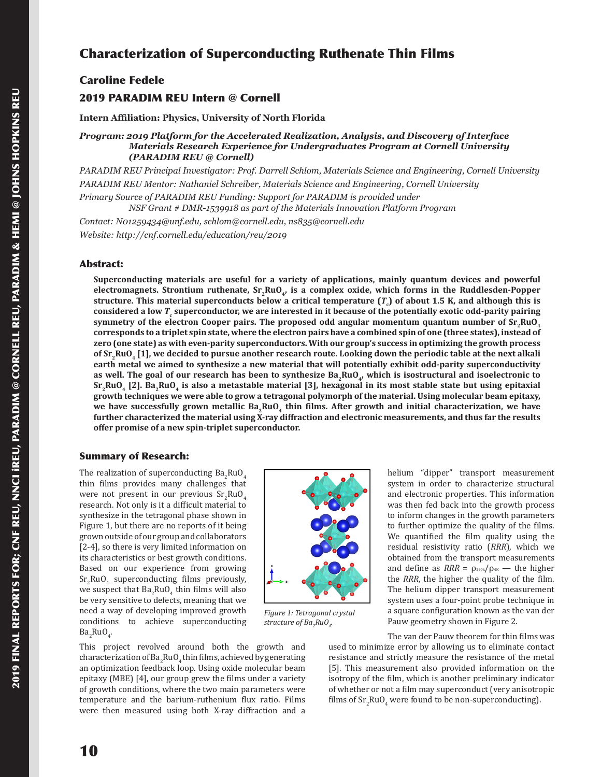# Characterization of Superconducting Ruthenate Thin Films

## Caroline Fedele 2019 PARADIM REU Intern @ Cornell

**Intern Affiliation: Physics, University of North Florida**

*Program: 2019 Platform for the Accelerated Realization, Analysis, and Discovery of Interface Materials Research Experience for Undergraduates Program at Cornell University (PARADIM REU @ Cornell)*

*PARADIM REU Principal Investigator: Prof. Darrell Schlom, Materials Science and Engineering, Cornell University PARADIM REU Mentor: Nathaniel Schreiber, Materials Science and Engineering, Cornell University Primary Source of PARADIM REU Funding: Support for PARADIM is provided under NSF Grant # DMR-1539918 as part of the Materials Innovation Platform Program*

*Contact: N01259434@unf.edu, schlom@cornell.edu, ns835@cornell.edu*

*Website: http://cnf.cornell.edu/education/reu/2019*

## Abstract:

**Superconducting materials are useful for a variety of applications, mainly quantum devices and powerful**  electromagnets. Strontium ruthenate, Sr<sub>2</sub>RuO<sub>4</sub>, is a complex oxide, which forms in the Ruddlesden-Popper  ${\bf s}$ tructure. This material superconducts below a critical temperature ( $T_c$ ) of about 1.5 K, and although this is **considered a low** *T***<sup>c</sup> superconductor, we are interested in it because of the potentially exotic odd-parity pairing**  symmetry of the electron Cooper pairs. The proposed odd angular momentum quantum number of  $Sr$ <sub>7</sub>RuO<sub>4</sub> **corresponds to a triplet spin state, where the electron pairs have a combined spin of one (three states), instead of zero (one state) as with even-parity superconductors. With our group's success in optimizing the growth process**  of Sr<sub>2</sub>RuO<sub>4</sub> [1], we decided to pursue another research route. Looking down the periodic table at the next alkali **earth metal we aimed to synthesize a new material that will potentially exhibit odd-parity superconductivity**  as well. The goal of our research has been to synthesize Ba<sub>2</sub>RuO<sub>4</sub>, which is isostructural and isoelectronic to **Sr2RuO4 [2]. Ba2RuO4 is also a metastable material [3], hexagonal in its most stable state but using epitaxial growth techniques we were able to grow a tetragonal polymorph of the material. Using molecular beam epitaxy,**  we have successfully grown metallic Ba<sub>2</sub>RuO<sub>4</sub> thin films. After growth and initial characterization, we have **further characterized the material using X-ray diffraction and electronic measurements, and thus far the results offer promise of a new spin-triplet superconductor.**

## Summary of Research:

The realization of superconducting  $Ba_2RuO_4$ thin films provides many challenges that were not present in our previous  $Sr<sub>2</sub>RuO<sub>4</sub>$ research. Not only is it a difficult material to synthesize in the tetragonal phase shown in Figure 1, but there are no reports of it being grown outside of our group and collaborators [2-4], so there is very limited information on its characteristics or best growth conditions. Based on our experience from growing  $Sr<sub>2</sub>RuO<sub>4</sub>$  superconducting films previously, we suspect that  $Ba_2RuO_4$  thin films will also be very sensitive to defects, meaning that we need a way of developing improved growth conditions to achieve superconducting  $Ba_2RuO_4$ .



*Figure 1: Tetragonal crystal structure of Ba2 RuO4 .*

This project revolved around both the growth and characterization of  $Ba_2RuO_4$  thin films, achieved by generating an optimization feedback loop. Using oxide molecular beam epitaxy (MBE) [4], our group grew the films under a variety of growth conditions, where the two main parameters were temperature and the barium-ruthenium flux ratio. Films were then measured using both X-ray diffraction and a

helium "dipper" transport measurement system in order to characterize structural and electronic properties. This information was then fed back into the growth process to inform changes in the growth parameters to further optimize the quality of the films. We quantified the film quality using the residual resistivity ratio (*RRR*), which we obtained from the transport measurements and define as  $RRR = \rho_{290k}/\rho_{4K}$  — the higher the *RRR*, the higher the quality of the film. The helium dipper transport measurement system uses a four-point probe technique in a square configuration known as the van der Pauw geometry shown in Figure 2.

The van der Pauw theorem for thin films was used to minimize error by allowing us to eliminate contact resistance and strictly measure the resistance of the metal [5]. This measurement also provided information on the isotropy of the film, which is another preliminary indicator of whether or not a film may superconduct (very anisotropic films of  $\mathrm{Sr}_2\mathrm{RuO}_4$  were found to be non-superconducting).